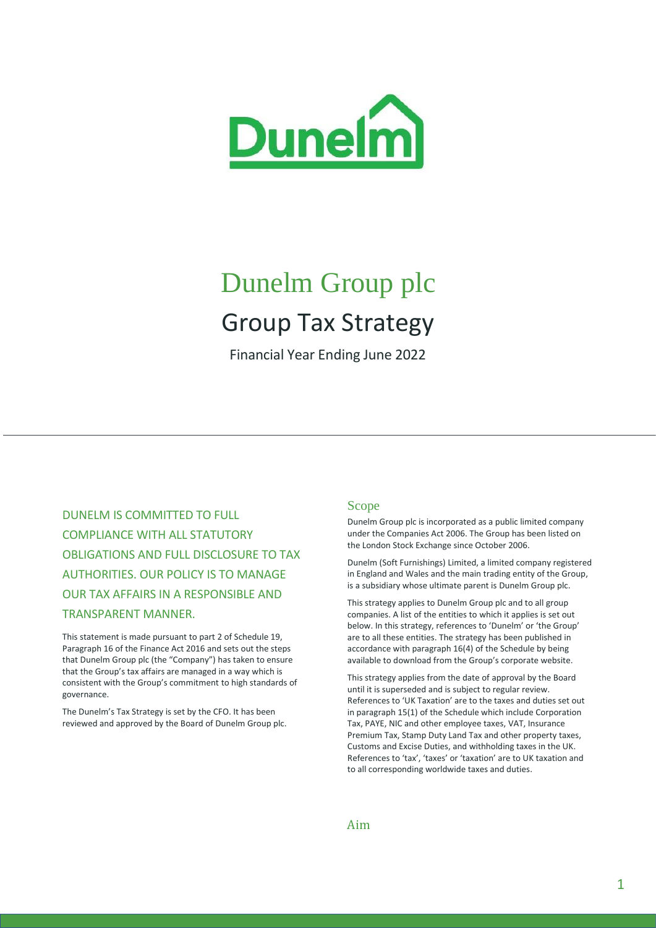

# Dunelm Group plc Group Tax Strategy

Financial Year Ending June 2022

DUNELM IS COMMITTED TO FULL COMPLIANCE WITH ALL STATUTORY OBLIGATIONS AND FULL DISCLOSURE TO TAX AUTHORITIES. OUR POLICY IS TO MANAGE OUR TAX AFFAIRS IN A RESPONSIBLE AND TRANSPARENT MANNER.

This statement is made pursuant to part 2 of Schedule 19, Paragraph 16 of the Finance Act 2016 and sets out the steps that Dunelm Group plc (the "Company") has taken to ensure that the Group's tax affairs are managed in a way which is consistent with the Group's commitment to high standards of governance.

The Dunelm's Tax Strategy is set by the CFO. It has been reviewed and approved by the Board of Dunelm Group plc.

### Scope

Dunelm Group plc is incorporated as a public limited company under the Companies Act 2006. The Group has been listed on the London Stock Exchange since October 2006.

Dunelm (Soft Furnishings) Limited, a limited company registered in England and Wales and the main trading entity of the Group, is a subsidiary whose ultimate parent is Dunelm Group plc.

This strategy applies to Dunelm Group plc and to all group companies. A list of the entities to which it applies is set out below. In this strategy, references to 'Dunelm' or 'the Group' are to all these entities. The strategy has been published in accordance with paragraph 16(4) of the Schedule by being available to download from the Group's corporate website.

This strategy applies from the date of approval by the Board until it is superseded and is subject to regular review. References to 'UK Taxation' are to the taxes and duties set out in paragraph 15(1) of the Schedule which include Corporation Tax, PAYE, NIC and other employee taxes, VAT, Insurance Premium Tax, Stamp Duty Land Tax and other property taxes, Customs and Excise Duties, and withholding taxes in the UK. References to 'tax', 'taxes' or 'taxation' are to UK taxation and to all corresponding worldwide taxes and duties.

Aim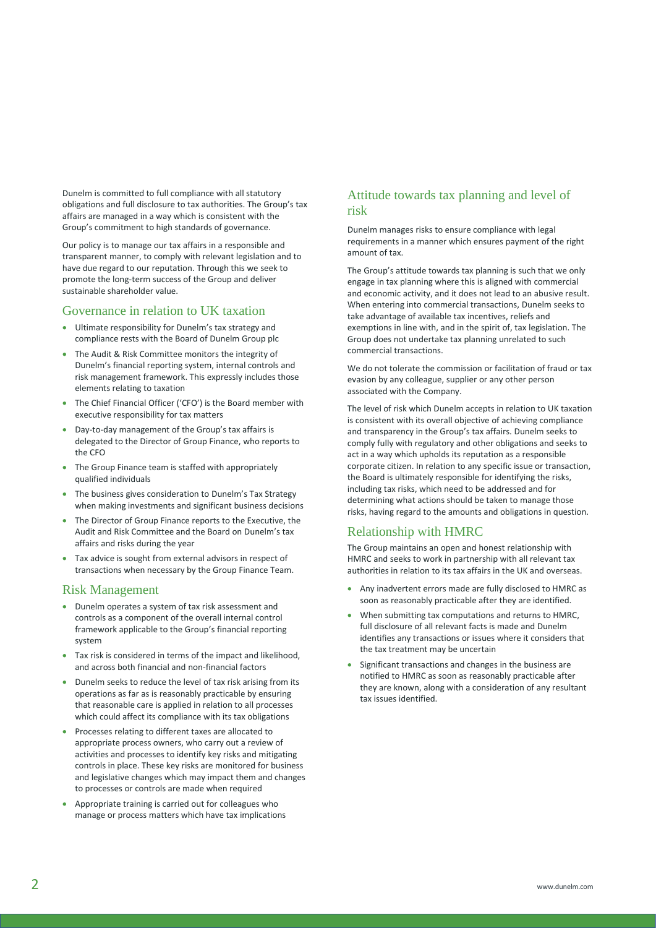Dunelm is committed to full compliance with all statutory obligations and full disclosure to tax authorities. The Group's tax affairs are managed in a way which is consistent with the Group's commitment to high standards of governance.

Our policy is to manage our tax affairs in a responsible and transparent manner, to comply with relevant legislation and to have due regard to our reputation. Through this we seek to promote the long-term success of the Group and deliver sustainable shareholder value.

## Governance in relation to UK taxation

- Ultimate responsibility for Dunelm's tax strategy and compliance rests with the Board of Dunelm Group plc
- The Audit & Risk Committee monitors the integrity of Dunelm's financial reporting system, internal controls and risk management framework. This expressly includes those elements relating to taxation
- The Chief Financial Officer ('CFO') is the Board member with executive responsibility for tax matters
- Day-to-day management of the Group's tax affairs is delegated to the Director of Group Finance, who reports to the CFO
- The Group Finance team is staffed with appropriately qualified individuals
- The business gives consideration to Dunelm's Tax Strategy when making investments and significant business decisions
- The Director of Group Finance reports to the Executive, the Audit and Risk Committee and the Board on Dunelm's tax affairs and risks during the year
- Tax advice is sought from external advisors in respect of transactions when necessary by the Group Finance Team.

### Risk Management

- Dunelm operates a system of tax risk assessment and controls as a component of the overall internal control framework applicable to the Group's financial reporting system
- Tax risk is considered in terms of the impact and likelihood, and across both financial and non-financial factors
- Dunelm seeks to reduce the level of tax risk arising from its operations as far as is reasonably practicable by ensuring that reasonable care is applied in relation to all processes which could affect its compliance with its tax obligations
- Processes relating to different taxes are allocated to appropriate process owners, who carry out a review of activities and processes to identify key risks and mitigating controls in place. These key risks are monitored for business and legislative changes which may impact them and changes to processes or controls are made when required
- Appropriate training is carried out for colleagues who manage or process matters which have tax implications

# Attitude towards tax planning and level of risk

Dunelm manages risks to ensure compliance with legal requirements in a manner which ensures payment of the right amount of tax.

The Group's attitude towards tax planning is such that we only engage in tax planning where this is aligned with commercial and economic activity, and it does not lead to an abusive result. When entering into commercial transactions, Dunelm seeks to take advantage of available tax incentives, reliefs and exemptions in line with, and in the spirit of, tax legislation. The Group does not undertake tax planning unrelated to such commercial transactions.

We do not tolerate the commission or facilitation of fraud or tax evasion by any colleague, supplier or any other person associated with the Company.

The level of risk which Dunelm accepts in relation to UK taxation is consistent with its overall objective of achieving compliance and transparency in the Group's tax affairs. Dunelm seeks to comply fully with regulatory and other obligations and seeks to act in a way which upholds its reputation as a responsible corporate citizen. In relation to any specific issue or transaction, the Board is ultimately responsible for identifying the risks, including tax risks, which need to be addressed and for determining what actions should be taken to manage those risks, having regard to the amounts and obligations in question.

# Relationship with HMRC

The Group maintains an open and honest relationship with HMRC and seeks to work in partnership with all relevant tax authorities in relation to its tax affairs in the UK and overseas.

- Any inadvertent errors made are fully disclosed to HMRC as soon as reasonably practicable after they are identified.
- When submitting tax computations and returns to HMRC, full disclosure of all relevant facts is made and Dunelm identifies any transactions or issues where it considers that the tax treatment may be uncertain
- Significant transactions and changes in the business are notified to HMRC as soon as reasonably practicable after they are known, along with a consideration of any resultant tax issues identified.